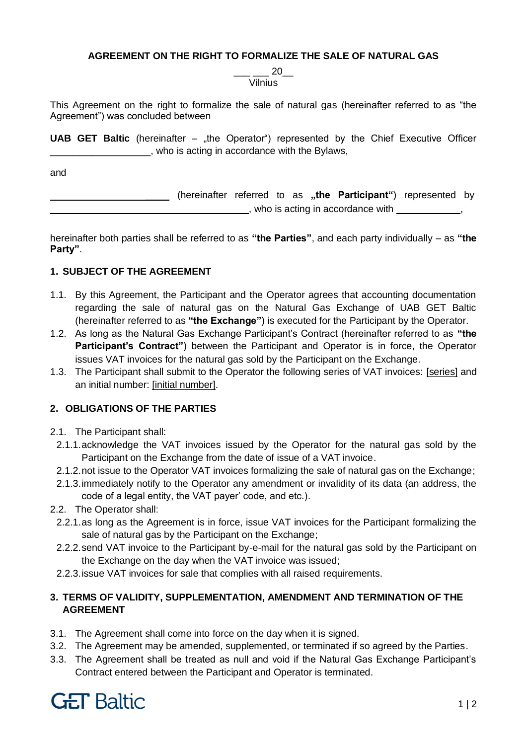### **AGREEMENT ON THE RIGHT TO FORMALIZE THE SALE OF NATURAL GAS**

\_\_\_ \_\_\_ 20\_\_ Vilnius

This Agreement on the right to formalize the sale of natural gas (hereinafter referred to as "the Agreement") was concluded between

**UAB GET Baltic** (hereinafter – "the Operator") represented by the Chief Executive Officer \_\_\_\_\_\_\_\_\_\_\_\_\_\_\_\_\_, who is acting in accordance with the Bylaws,

and

\_\_\_\_ (hereinafter referred to as **"the Participant"**) represented by \_\_\_\_\_\_\_\_\_\_\_\_\_\_\_\_\_\_\_, who is acting in accordance with \_\_\_\_\_\_\_\_\_\_\_,

hereinafter both parties shall be referred to as **"the Parties"**, and each party individually – as **"the Party"**.

### **1. SUBJECT OF THE AGREEMENT**

- 1.1. By this Agreement, the Participant and the Operator agrees that accounting documentation regarding the sale of natural gas on the Natural Gas Exchange of UAB GET Baltic (hereinafter referred to as **"the Exchange"**) is executed for the Participant by the Operator.
- 1.2. As long as the Natural Gas Exchange Participant's Contract (hereinafter referred to as **"the Participant's Contract"**) between the Participant and Operator is in force, the Operator issues VAT invoices for the natural gas sold by the Participant on the Exchange.
- 1.3. The Participant shall submit to the Operator the following series of VAT invoices: [series] and an initial number: [initial number].

# **2. OBLIGATIONS OF THE PARTIES**

- 2.1. The Participant shall:
- 2.1.1.acknowledge the VAT invoices issued by the Operator for the natural gas sold by the Participant on the Exchange from the date of issue of a VAT invoice.
- 2.1.2.not issue to the Operator VAT invoices formalizing the sale of natural gas on the Exchange;
- 2.1.3.immediately notify to the Operator any amendment or invalidity of its data (an address, the code of a legal entity, the VAT payer' code, and etc.).
- 2.2. The Operator shall:
	- 2.2.1.as long as the Agreement is in force, issue VAT invoices for the Participant formalizing the sale of natural gas by the Participant on the Exchange;
	- 2.2.2.send VAT invoice to the Participant by-e-mail for the natural gas sold by the Participant on the Exchange on the day when the VAT invoice was issued;
- 2.2.3.issue VAT invoices for sale that complies with all raised requirements.

## **3. TERMS OF VALIDITY, SUPPLEMENTATION, AMENDMENT AND TERMINATION OF THE AGREEMENT**

- 3.1. The Agreement shall come into force on the day when it is signed.
- 3.2. The Agreement may be amended, supplemented, or terminated if so agreed by the Parties.
- 3.3. The Agreement shall be treated as null and void if the Natural Gas Exchange Participant's Contract entered between the Participant and Operator is terminated.